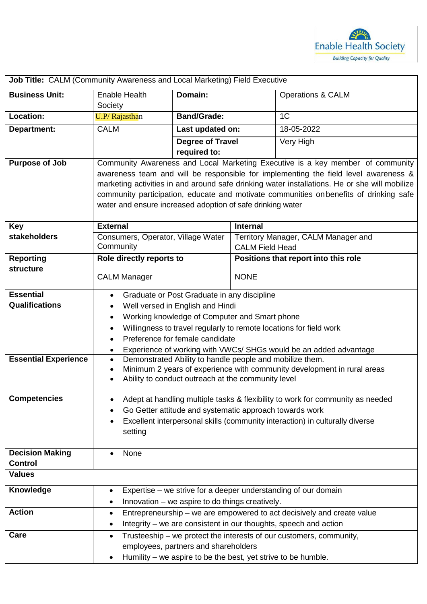

| Job Title: CALM (Community Awareness and Local Marketing) Field Executive |                                                                                                                                                                                      |                                                               |                                                               |                              |  |
|---------------------------------------------------------------------------|--------------------------------------------------------------------------------------------------------------------------------------------------------------------------------------|---------------------------------------------------------------|---------------------------------------------------------------|------------------------------|--|
| <b>Business Unit:</b>                                                     | <b>Enable Health</b><br>Society                                                                                                                                                      | Domain:                                                       |                                                               | <b>Operations &amp; CALM</b> |  |
| Location:                                                                 | U.P/Rajasthan                                                                                                                                                                        | <b>Band/Grade:</b>                                            |                                                               | 1 <sup>C</sup>               |  |
| Department:                                                               | <b>CALM</b>                                                                                                                                                                          | Last updated on:                                              |                                                               | 18-05-2022                   |  |
|                                                                           |                                                                                                                                                                                      | <b>Degree of Travel</b>                                       |                                                               | Very High                    |  |
|                                                                           |                                                                                                                                                                                      | required to:                                                  |                                                               |                              |  |
| <b>Purpose of Job</b>                                                     | Community Awareness and Local Marketing Executive is a key member of community                                                                                                       |                                                               |                                                               |                              |  |
|                                                                           | awareness team and will be responsible for implementing the field level awareness &<br>marketing activities in and around safe drinking water installations. He or she will mobilize |                                                               |                                                               |                              |  |
|                                                                           | community participation, educate and motivate communities on benefits of drinking safe                                                                                               |                                                               |                                                               |                              |  |
|                                                                           | water and ensure increased adoption of safe drinking water                                                                                                                           |                                                               |                                                               |                              |  |
|                                                                           |                                                                                                                                                                                      |                                                               |                                                               |                              |  |
| <b>Key</b>                                                                | <b>External</b>                                                                                                                                                                      |                                                               | <b>Internal</b>                                               |                              |  |
| stakeholders                                                              | Consumers, Operator, Village Water<br>Community                                                                                                                                      |                                                               | Territory Manager, CALM Manager and<br><b>CALM Field Head</b> |                              |  |
| <b>Reporting</b>                                                          | Role directly reports to                                                                                                                                                             |                                                               | Positions that report into this role                          |                              |  |
| structure                                                                 |                                                                                                                                                                                      |                                                               |                                                               |                              |  |
|                                                                           | <b>CALM Manager</b>                                                                                                                                                                  |                                                               | <b>NONE</b>                                                   |                              |  |
| <b>Essential</b>                                                          | Graduate or Post Graduate in any discipline<br>$\bullet$                                                                                                                             |                                                               |                                                               |                              |  |
| <b>Qualifications</b>                                                     | Well versed in English and Hindi                                                                                                                                                     |                                                               |                                                               |                              |  |
|                                                                           | Working knowledge of Computer and Smart phone<br>٠                                                                                                                                   |                                                               |                                                               |                              |  |
|                                                                           | Willingness to travel regularly to remote locations for field work<br>$\bullet$<br>Preference for female candidate<br>$\bullet$                                                      |                                                               |                                                               |                              |  |
|                                                                           | Experience of working with VWCs/ SHGs would be an added advantage<br>$\bullet$                                                                                                       |                                                               |                                                               |                              |  |
| <b>Essential Experience</b>                                               | Demonstrated Ability to handle people and mobilize them.<br>$\bullet$                                                                                                                |                                                               |                                                               |                              |  |
|                                                                           | Minimum 2 years of experience with community development in rural areas<br>$\bullet$<br>Ability to conduct outreach at the community level                                           |                                                               |                                                               |                              |  |
|                                                                           | $\bullet$                                                                                                                                                                            |                                                               |                                                               |                              |  |
| <b>Competencies</b>                                                       | Adept at handling multiple tasks & flexibility to work for community as needed<br>٠                                                                                                  |                                                               |                                                               |                              |  |
|                                                                           | Go Getter attitude and systematic approach towards work                                                                                                                              |                                                               |                                                               |                              |  |
|                                                                           | Excellent interpersonal skills (community interaction) in culturally diverse<br>٠                                                                                                    |                                                               |                                                               |                              |  |
|                                                                           | setting                                                                                                                                                                              |                                                               |                                                               |                              |  |
| <b>Decision Making</b>                                                    | None<br>$\bullet$                                                                                                                                                                    |                                                               |                                                               |                              |  |
| <b>Control</b>                                                            |                                                                                                                                                                                      |                                                               |                                                               |                              |  |
| <b>Values</b>                                                             |                                                                                                                                                                                      |                                                               |                                                               |                              |  |
| <b>Knowledge</b>                                                          | Expertise – we strive for a deeper understanding of our domain<br>$\bullet$                                                                                                          |                                                               |                                                               |                              |  |
|                                                                           | Innovation – we aspire to do things creatively.<br>$\bullet$                                                                                                                         |                                                               |                                                               |                              |  |
| <b>Action</b>                                                             | Entrepreneurship - we are empowered to act decisively and create value<br>$\bullet$                                                                                                  |                                                               |                                                               |                              |  |
|                                                                           | Integrity - we are consistent in our thoughts, speech and action<br>٠                                                                                                                |                                                               |                                                               |                              |  |
| Care                                                                      | Trusteeship – we protect the interests of our customers, community,<br>$\bullet$<br>employees, partners and shareholders                                                             |                                                               |                                                               |                              |  |
|                                                                           |                                                                                                                                                                                      | Humility – we aspire to be the best, yet strive to be humble. |                                                               |                              |  |